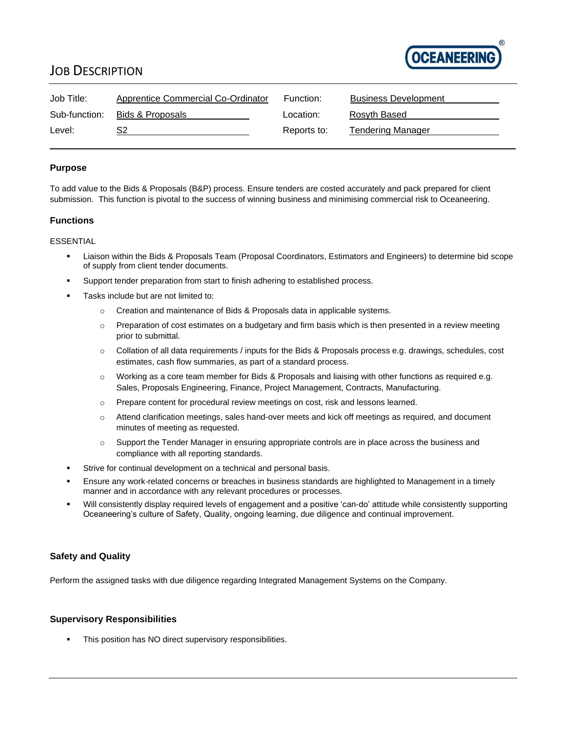

## JOB DESCRIPTION

| Job Title:    | Apprentice Commercial Co-Ordinator | Function:   | <b>Business Development</b> |
|---------------|------------------------------------|-------------|-----------------------------|
| Sub-function: | Bids & Proposals                   | Location:   | Rosyth Based                |
| Level:        |                                    | Reports to: | Tendering Manager           |

### **Purpose**

To add value to the Bids & Proposals (B&P) process. Ensure tenders are costed accurately and pack prepared for client submission. This function is pivotal to the success of winning business and minimising commercial risk to Oceaneering.

## **Functions**

#### ESSENTIAL

- Liaison within the Bids & Proposals Team (Proposal Coordinators, Estimators and Engineers) to determine bid scope of supply from client tender documents.
- Support tender preparation from start to finish adhering to established process.
- Tasks include but are not limited to:
	- o Creation and maintenance of Bids & Proposals data in applicable systems.
	- o Preparation of cost estimates on a budgetary and firm basis which is then presented in a review meeting prior to submittal.
	- o Collation of all data requirements / inputs for the Bids & Proposals process e.g. drawings, schedules, cost estimates, cash flow summaries, as part of a standard process.
	- $\circ$  Working as a core team member for Bids & Proposals and liaising with other functions as required e.g. Sales, Proposals Engineering, Finance, Project Management, Contracts, Manufacturing.
	- o Prepare content for procedural review meetings on cost, risk and lessons learned.
	- o Attend clarification meetings, sales hand-over meets and kick off meetings as required, and document minutes of meeting as requested.
	- o Support the Tender Manager in ensuring appropriate controls are in place across the business and compliance with all reporting standards.
- Strive for continual development on a technical and personal basis.
- Ensure any work-related concerns or breaches in business standards are highlighted to Management in a timely manner and in accordance with any relevant procedures or processes.
- Will consistently display required levels of engagement and a positive 'can-do' attitude while consistently supporting Oceaneering's culture of Safety, Quality, ongoing learning, due diligence and continual improvement.

#### **Safety and Quality**

Perform the assigned tasks with due diligence regarding Integrated Management Systems on the Company.

#### **Supervisory Responsibilities**

This position has NO direct supervisory responsibilities.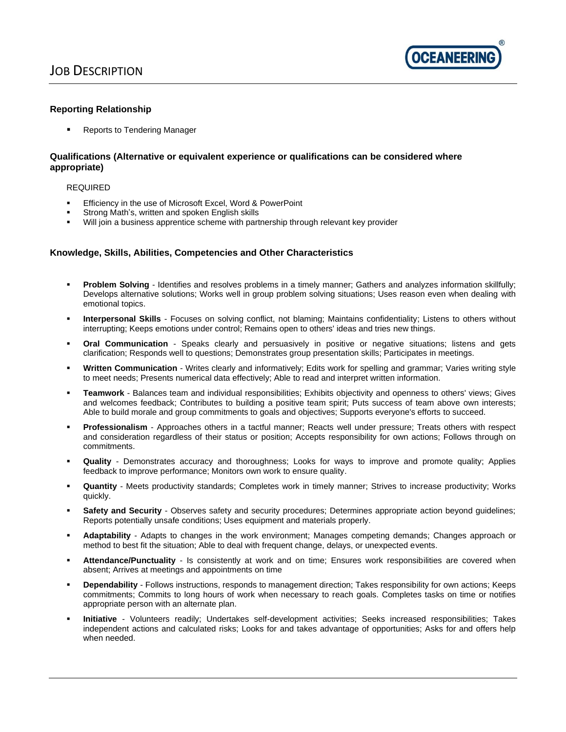

#### **Reporting Relationship**

**Reports to Tendering Manager** 

#### **Qualifications (Alternative or equivalent experience or qualifications can be considered where appropriate)**

#### REQUIRED

- Efficiency in the use of Microsoft Excel, Word & PowerPoint
- Strong Math's, written and spoken English skills
- Will join a business apprentice scheme with partnership through relevant key provider

#### **Knowledge, Skills, Abilities, Competencies and Other Characteristics**

- **Problem Solving** Identifies and resolves problems in a timely manner; Gathers and analyzes information skillfully; Develops alternative solutions; Works well in group problem solving situations; Uses reason even when dealing with emotional topics.
- **Interpersonal Skills** Focuses on solving conflict, not blaming; Maintains confidentiality; Listens to others without interrupting; Keeps emotions under control; Remains open to others' ideas and tries new things.
- **Oral Communication** Speaks clearly and persuasively in positive or negative situations; listens and gets clarification; Responds well to questions; Demonstrates group presentation skills; Participates in meetings.
- **Written Communication** Writes clearly and informatively; Edits work for spelling and grammar; Varies writing style to meet needs; Presents numerical data effectively; Able to read and interpret written information.
- **Teamwork** Balances team and individual responsibilities; Exhibits objectivity and openness to others' views; Gives and welcomes feedback; Contributes to building a positive team spirit; Puts success of team above own interests; Able to build morale and group commitments to goals and objectives; Supports everyone's efforts to succeed.
- Professionalism Approaches others in a tactful manner; Reacts well under pressure; Treats others with respect and consideration regardless of their status or position; Accepts responsibility for own actions; Follows through on commitments.
- Quality Demonstrates accuracy and thoroughness; Looks for ways to improve and promote quality; Applies feedback to improve performance; Monitors own work to ensure quality.
- Quantity Meets productivity standards; Completes work in timely manner; Strives to increase productivity; Works quickly.
- Safety and Security Observes safety and security procedures; Determines appropriate action beyond guidelines; Reports potentially unsafe conditions; Uses equipment and materials properly.
- Adaptability Adapts to changes in the work environment; Manages competing demands; Changes approach or method to best fit the situation; Able to deal with frequent change, delays, or unexpected events.
- Attendance/Punctuality Is consistently at work and on time; Ensures work responsibilities are covered when absent; Arrives at meetings and appointments on time
- **Dependability** Follows instructions, responds to management direction; Takes responsibility for own actions; Keeps commitments; Commits to long hours of work when necessary to reach goals. Completes tasks on time or notifies appropriate person with an alternate plan.
- **Initiative** Volunteers readily; Undertakes self-development activities; Seeks increased responsibilities; Takes independent actions and calculated risks; Looks for and takes advantage of opportunities; Asks for and offers help when needed.